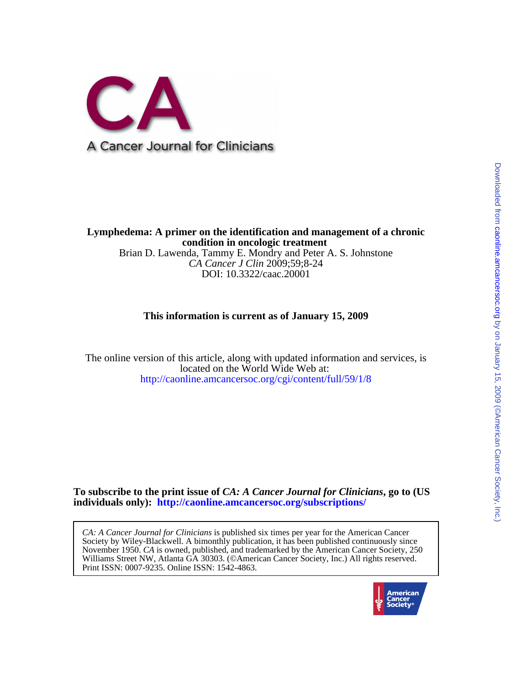

*CA Cancer J Clin* 2009;59;8-24 Brian D. Lawenda, Tammy E. Mondry and Peter A. S. Johnstone **condition in oncologic treatment Lymphedema: A primer on the identification and management of a chronic**

DOI: 10.3322/caac.20001

## **This information is current as of January 15, 2009**

<http://caonline.amcancersoc.org/cgi/content/full/59/1/8> located on the World Wide Web at: The online version of this article, along with updated information and services, is

**individuals only): <http://caonline.amcancersoc.org/subscriptions/> To subscribe to the print issue of** *CA: A Cancer Journal for Clinicians***, go to (US**

Print ISSN: 0007-9235. Online ISSN: 1542-4863. Williams Street NW, Atlanta GA 30303. (©American Cancer Society, Inc.) All rights reserved. November 1950. *CA* is owned, published, and trademarked by the American Cancer Society, 250 Society by Wiley-Blackwell. A bimonthly publication, it has been published continuously since *CA: A Cancer Journal for Clinicians* is published six times per year for the American Cancer

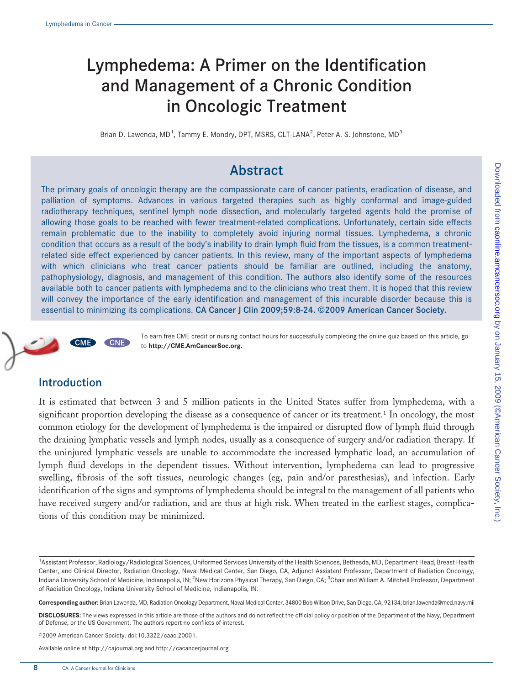# Lymphedema: A Primer on the Identification and Management of a Chronic Condition in Oncologic Treatment

Brian D. Lawenda, MD<sup>1</sup>, Tammy E. Mondry, DPT, MSRS, CLT-LANA<sup>2</sup>, Peter A. S. Johnstone, MD<sup>3</sup>

# Abstract

The primary goals of oncologic therapy are the compassionate care of cancer patients, eradication of disease, and palliation of symptoms. Advances in various targeted therapies such as highly conformal and image-guided radiotherapy techniques, sentinel lymph node dissection, and molecularly targeted agents hold the promise of allowing those goals to be reached with fewer treatment-related complications. Unfortunately, certain side effects remain problematic due to the inability to completely avoid injuring normal tissues. Lymphedema, a chronic condition that occurs as a result of the body's inability to drain lymph fluid from the tissues, is a common treatmentrelated side effect experienced by cancer patients. In this review, many of the important aspects of lymphedema with which clinicians who treat cancer patients should be familiar are outlined, including the anatomy, pathophysiology, diagnosis, and management of this condition. The authors also identify some of the resources available both to cancer patients with lymphedema and to the clinicians who treat them. It is hoped that this review will convey the importance of the early identification and management of this incurable disorder because this is essential to minimizing its complications. CA Cancer J Clin 2009;59:8-24. ©2009 American Cancer Society.



To earn free CME credit or nursing contact hours for successfully completing the online quiz based on this article, go to http://CME.AmCancerSoc.org.

### Introduction

It is estimated that between 3 and 5 million patients in the United States suffer from lymphedema, with a significant proportion developing the disease as a consequence of cancer or its treatment.<sup>1</sup> In oncology, the most common etiology for the development of lymphedema is the impaired or disrupted flow of lymph fluid through the draining lymphatic vessels and lymph nodes, usually as a consequence of surgery and/or radiation therapy. If the uninjured lymphatic vessels are unable to accommodate the increased lymphatic load, an accumulation of lymph fluid develops in the dependent tissues. Without intervention, lymphedema can lead to progressive swelling, fibrosis of the soft tissues, neurologic changes (eg, pain and/or paresthesias), and infection. Early identification of the signs and symptoms of lymphedema should be integral to the management of all patients who have received surgery and/or radiation, and are thus at high risk. When treated in the earliest stages, complications of this condition may be minimized.

Corresponding author: Brian Lawenda, MD, Radiation Oncology Department, Naval Medical Center, 34800 Bob Wilson Drive, San Diego, CA, 92134; brian.lawenda@med.navy.mil

Available online at http://cajournal.org and http://cacancerjournal.org

<sup>&</sup>lt;sup>1</sup>Assistant Professor, Radiology/Radiological Sciences, Uniformed Services University of the Health Sciences, Bethesda, MD, Department Head, Breast Health Center, and Clinical Director, Radiation Oncology, Naval Medical Center, San Diego, CA, Adjunct Assistant Professor, Department of Radiation Oncology, Indiana University School of Medicine, Indianapolis, IN; <sup>2</sup>New Horizons Physical Therapy, San Diego, CA; <sup>3</sup>Chair and William A. Mitchell Professor, Department of Radiation Oncology, Indiana University School of Medicine, Indianapolis, IN.

DISCLOSURES: The views expressed in this article are those of the authors and do not reflect the official policy or position of the Department of the Navy, Department of Defense, or the US Government. The authors report no conflicts of interest.

<sup>2009</sup> American Cancer Society. doi:10.3322/caac.20001.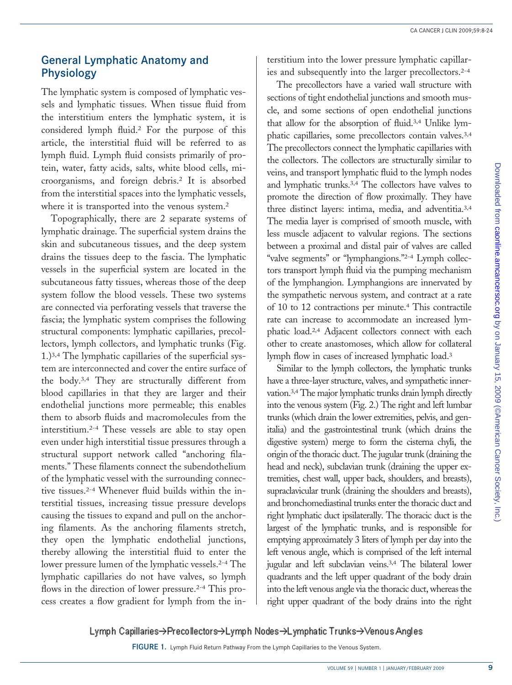# General Lymphatic Anatomy and Physiology

The lymphatic system is composed of lymphatic vessels and lymphatic tissues. When tissue fluid from the interstitium enters the lymphatic system, it is considered lymph fluid.2 For the purpose of this article, the interstitial fluid will be referred to as lymph fluid. Lymph fluid consists primarily of protein, water, fatty acids, salts, white blood cells, microorganisms, and foreign debris.2 It is absorbed from the interstitial spaces into the lymphatic vessels, where it is transported into the venous system.<sup>2</sup>

Topographically, there are 2 separate systems of lymphatic drainage. The superficial system drains the skin and subcutaneous tissues, and the deep system drains the tissues deep to the fascia. The lymphatic vessels in the superficial system are located in the subcutaneous fatty tissues, whereas those of the deep system follow the blood vessels. These two systems are connected via perforating vessels that traverse the fascia; the lymphatic system comprises the following structural components: lymphatic capillaries, precollectors, lymph collectors, and lymphatic trunks (Fig. 1.)3,4 The lymphatic capillaries of the superficial system are interconnected and cover the entire surface of the body.3,4 They are structurally different from blood capillaries in that they are larger and their endothelial junctions more permeable; this enables them to absorb fluids and macromolecules from the interstitium.2-4 These vessels are able to stay open even under high interstitial tissue pressures through a structural support network called "anchoring filaments." These filaments connect the subendothelium of the lymphatic vessel with the surrounding connective tissues.2-4 Whenever fluid builds within the interstitial tissues, increasing tissue pressure develops causing the tissues to expand and pull on the anchoring filaments. As the anchoring filaments stretch, they open the lymphatic endothelial junctions, thereby allowing the interstitial fluid to enter the lower pressure lumen of the lymphatic vessels.2-4 The lymphatic capillaries do not have valves, so lymph flows in the direction of lower pressure.<sup>2-4</sup> This process creates a flow gradient for lymph from the in-

terstitium into the lower pressure lymphatic capillaries and subsequently into the larger precollectors.2-4

The precollectors have a varied wall structure with sections of tight endothelial junctions and smooth muscle, and some sections of open endothelial junctions that allow for the absorption of fluid.3,4 Unlike lymphatic capillaries, some precollectors contain valves.3,4 The precollectors connect the lymphatic capillaries with the collectors. The collectors are structurally similar to veins, and transport lymphatic fluid to the lymph nodes and lymphatic trunks.3,4 The collectors have valves to promote the direction of flow proximally. They have three distinct layers: intima, media, and adventitia.3,4 The media layer is comprised of smooth muscle, with less muscle adjacent to valvular regions. The sections between a proximal and distal pair of valves are called "valve segments" or "lymphangions."2-4 Lymph collectors transport lymph fluid via the pumping mechanism of the lymphangion. Lymphangions are innervated by the sympathetic nervous system, and contract at a rate of 10 to 12 contractions per minute.4 This contractile rate can increase to accommodate an increased lymphatic load.2,4 Adjacent collectors connect with each other to create anastomoses, which allow for collateral lymph flow in cases of increased lymphatic load.3

Similar to the lymph collectors, the lymphatic trunks have a three-layer structure, valves, and sympathetic innervation.3,4 The major lymphatic trunks drain lymph directly into the venous system (Fig. 2.) The right and left lumbar trunks (which drain the lower extremities, pelvis, and genitalia) and the gastrointestinal trunk (which drains the digestive system) merge to form the cisterna chyli, the origin of the thoracic duct. The jugular trunk (draining the head and neck), subclavian trunk (draining the upper extremities, chest wall, upper back, shoulders, and breasts), supraclavicular trunk (draining the shoulders and breasts), and bronchomediastinal trunks enter the thoracic duct and right lymphatic duct ipsilaterally. The thoracic duct is the largest of the lymphatic trunks, and is responsible for emptying approximately 3 liters of lymph per day into the left venous angle, which is comprised of the left internal jugular and left subclavian veins.3,4 The bilateral lower quadrants and the left upper quadrant of the body drain into the left venous angle via the thoracic duct, whereas the right upper quadrant of the body drains into the right

#### Lymph Capillaries→Precollectors→Lymph Nodes→Lymphatic Trunks→Venous Angles

FIGURE 1. Lymph Fluid Return Pathway From the Lymph Capillaries to the Venous System.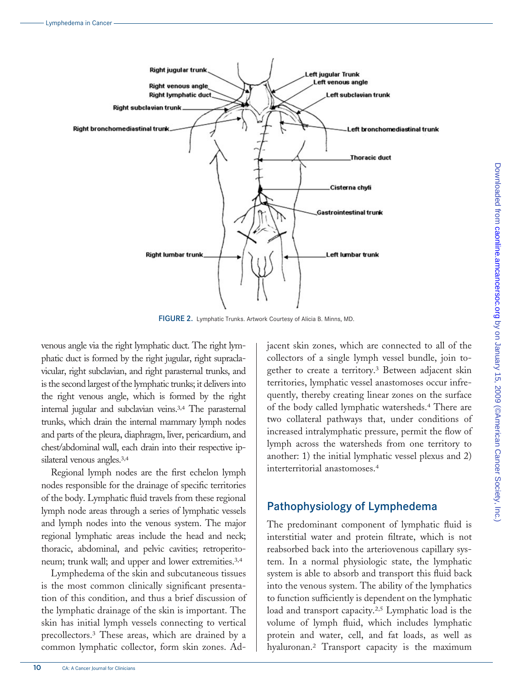

FIGURE 2. Lymphatic Trunks. Artwork Courtesy of Alicia B. Minns, MD.

venous angle via the right lymphatic duct. The right lymphatic duct is formed by the right jugular, right supraclavicular, right subclavian, and right parasternal trunks, and is the second largest of the lymphatic trunks; it delivers into the right venous angle, which is formed by the right internal jugular and subclavian veins.3,4 The parasternal trunks, which drain the internal mammary lymph nodes and parts of the pleura, diaphragm, liver, pericardium, and chest/abdominal wall, each drain into their respective ipsilateral venous angles.3,4

Regional lymph nodes are the first echelon lymph nodes responsible for the drainage of specific territories of the body. Lymphatic fluid travels from these regional lymph node areas through a series of lymphatic vessels and lymph nodes into the venous system. The major regional lymphatic areas include the head and neck; thoracic, abdominal, and pelvic cavities; retroperitoneum; trunk wall; and upper and lower extremities.3,4

Lymphedema of the skin and subcutaneous tissues is the most common clinically significant presentation of this condition, and thus a brief discussion of the lymphatic drainage of the skin is important. The skin has initial lymph vessels connecting to vertical precollectors.3 These areas, which are drained by a common lymphatic collector, form skin zones. Adjacent skin zones, which are connected to all of the collectors of a single lymph vessel bundle, join together to create a territory.3 Between adjacent skin territories, lymphatic vessel anastomoses occur infrequently, thereby creating linear zones on the surface of the body called lymphatic watersheds.4 There are two collateral pathways that, under conditions of increased intralymphatic pressure, permit the flow of lymph across the watersheds from one territory to another: 1) the initial lymphatic vessel plexus and 2) interterritorial anastomoses.4

# Pathophysiology of Lymphedema

The predominant component of lymphatic fluid is interstitial water and protein filtrate, which is not reabsorbed back into the arteriovenous capillary system. In a normal physiologic state, the lymphatic system is able to absorb and transport this fluid back into the venous system. The ability of the lymphatics to function sufficiently is dependent on the lymphatic load and transport capacity.2,5 Lymphatic load is the volume of lymph fluid, which includes lymphatic protein and water, cell, and fat loads, as well as hyaluronan.2 Transport capacity is the maximum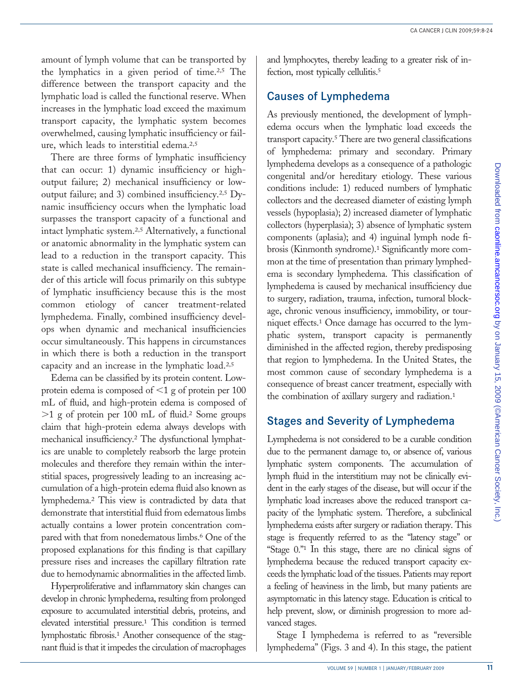amount of lymph volume that can be transported by the lymphatics in a given period of time.2,5 The difference between the transport capacity and the lymphatic load is called the functional reserve. When increases in the lymphatic load exceed the maximum transport capacity, the lymphatic system becomes overwhelmed, causing lymphatic insufficiency or failure, which leads to interstitial edema.2,5

There are three forms of lymphatic insufficiency that can occur: 1) dynamic insufficiency or highoutput failure; 2) mechanical insufficiency or lowoutput failure; and 3) combined insufficiency.2,5 Dynamic insufficiency occurs when the lymphatic load surpasses the transport capacity of a functional and intact lymphatic system.2,5 Alternatively, a functional or anatomic abnormality in the lymphatic system can lead to a reduction in the transport capacity. This state is called mechanical insufficiency. The remainder of this article will focus primarily on this subtype of lymphatic insufficiency because this is the most common etiology of cancer treatment-related lymphedema. Finally, combined insufficiency develops when dynamic and mechanical insufficiencies occur simultaneously. This happens in circumstances in which there is both a reduction in the transport capacity and an increase in the lymphatic load.2,5

Edema can be classified by its protein content. Lowprotein edema is composed of  $\leq 1$  g of protein per 100 mL of fluid, and high-protein edema is composed of  $>1$  g of protein per 100 mL of fluid.<sup>2</sup> Some groups claim that high-protein edema always develops with mechanical insufficiency.2 The dysfunctional lymphatics are unable to completely reabsorb the large protein molecules and therefore they remain within the interstitial spaces, progressively leading to an increasing accumulation of a high-protein edema fluid also known as lymphedema.2 This view is contradicted by data that demonstrate that interstitial fluid from edematous limbs actually contains a lower protein concentration compared with that from nonedematous limbs.<sup>6</sup> One of the proposed explanations for this finding is that capillary pressure rises and increases the capillary filtration rate due to hemodynamic abnormalities in the affected limb.

Hyperproliferative and inflammatory skin changes can develop in chronic lymphedema, resulting from prolonged exposure to accumulated interstitial debris, proteins, and elevated interstitial pressure.1 This condition is termed lymphostatic fibrosis.1 Another consequence of the stagnant fluid is that it impedes the circulation of macrophages and lymphocytes, thereby leading to a greater risk of infection, most typically cellulitis.5

### Causes of Lymphedema

As previously mentioned, the development of lymphedema occurs when the lymphatic load exceeds the transport capacity.5 There are two general classifications of lymphedema: primary and secondary. Primary lymphedema develops as a consequence of a pathologic congenital and/or hereditary etiology. These various conditions include: 1) reduced numbers of lymphatic collectors and the decreased diameter of existing lymph vessels (hypoplasia); 2) increased diameter of lymphatic collectors (hyperplasia); 3) absence of lymphatic system components (aplasia); and 4) inguinal lymph node fibrosis (Kinmonth syndrome).1 Significantly more common at the time of presentation than primary lymphedema is secondary lymphedema. This classification of lymphedema is caused by mechanical insufficiency due to surgery, radiation, trauma, infection, tumoral blockage, chronic venous insufficiency, immobility, or tourniquet effects.1 Once damage has occurred to the lymphatic system, transport capacity is permanently diminished in the affected region, thereby predisposing that region to lymphedema. In the United States, the most common cause of secondary lymphedema is a consequence of breast cancer treatment, especially with the combination of axillary surgery and radiation.<sup>1</sup>

### Stages and Severity of Lymphedema

Lymphedema is not considered to be a curable condition due to the permanent damage to, or absence of, various lymphatic system components. The accumulation of lymph fluid in the interstitium may not be clinically evident in the early stages of the disease, but will occur if the lymphatic load increases above the reduced transport capacity of the lymphatic system. Therefore, a subclinical lymphedema exists after surgery or radiation therapy. This stage is frequently referred to as the "latency stage" or "Stage 0."1 In this stage, there are no clinical signs of lymphedema because the reduced transport capacity exceeds the lymphatic load of the tissues. Patients may report a feeling of heaviness in the limb, but many patients are asymptomatic in this latency stage. Education is critical to help prevent, slow, or diminish progression to more advanced stages.

Stage I lymphedema is referred to as "reversible lymphedema" (Figs. 3 and 4). In this stage, the patient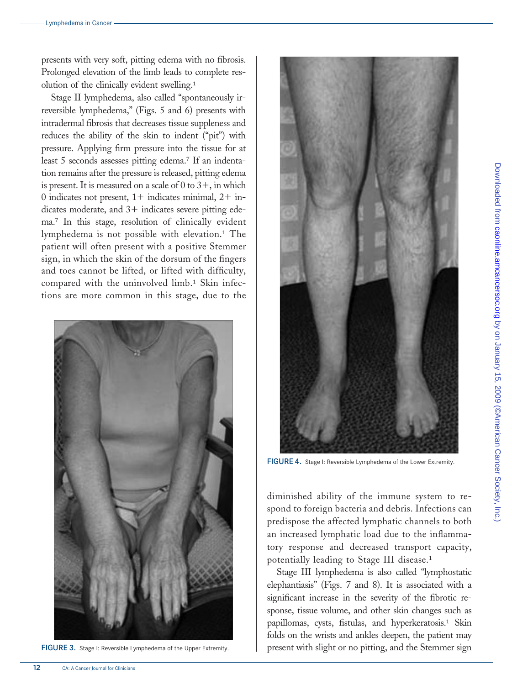presents with very soft, pitting edema with no fibrosis. Prolonged elevation of the limb leads to complete resolution of the clinically evident swelling.1

Stage II lymphedema, also called "spontaneously irreversible lymphedema," (Figs. 5 and 6) presents with intradermal fibrosis that decreases tissue suppleness and reduces the ability of the skin to indent ("pit") with pressure. Applying firm pressure into the tissue for at least 5 seconds assesses pitting edema.7 If an indentation remains after the pressure is released, pitting edema is present. It is measured on a scale of 0 to  $3+$ , in which 0 indicates not present,  $1+$  indicates minimal,  $2+$  indicates moderate, and  $3+$  indicates severe pitting edema.7 In this stage, resolution of clinically evident lymphedema is not possible with elevation.1 The patient will often present with a positive Stemmer sign, in which the skin of the dorsum of the fingers and toes cannot be lifted, or lifted with difficulty, compared with the uninvolved limb.<sup>1</sup> Skin infections are more common in this stage, due to the





FIGURE 4. Stage I: Reversible Lymphedema of the Lower Extremity.

diminished ability of the immune system to respond to foreign bacteria and debris. Infections can predispose the affected lymphatic channels to both an increased lymphatic load due to the inflammatory response and decreased transport capacity, potentially leading to Stage III disease.1

Stage III lymphedema is also called "lymphostatic elephantiasis" (Figs. 7 and 8). It is associated with a significant increase in the severity of the fibrotic response, tissue volume, and other skin changes such as papillomas, cysts, fistulas, and hyperkeratosis.<sup>1</sup> Skin folds on the wrists and ankles deepen, the patient may FIGURE 3. Stage I: Reversible Lymphedema of the Upper Extremity. present with slight or no pitting, and the Stemmer sign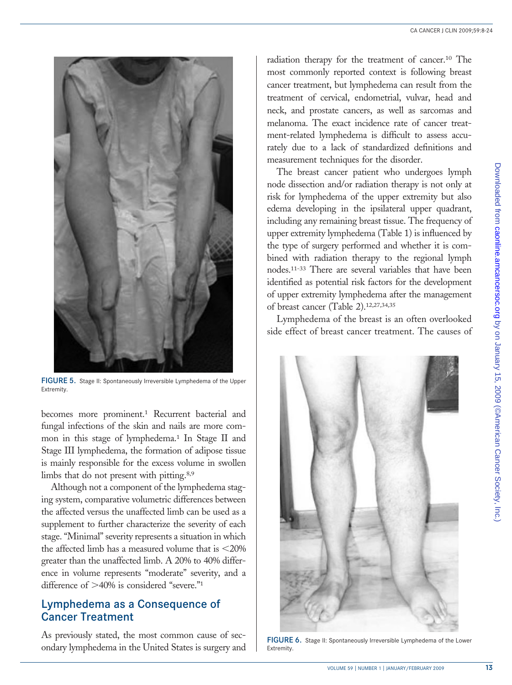

FIGURE 5. Stage II: Spontaneously Irreversible Lymphedema of the Upper Extremity.

becomes more prominent.<sup>1</sup> Recurrent bacterial and fungal infections of the skin and nails are more common in this stage of lymphedema.1 In Stage II and Stage III lymphedema, the formation of adipose tissue is mainly responsible for the excess volume in swollen limbs that do not present with pitting.<sup>8,9</sup>

Although not a component of the lymphedema staging system, comparative volumetric differences between the affected versus the unaffected limb can be used as a supplement to further characterize the severity of each stage. "Minimal" severity represents a situation in which the affected limb has a measured volume that is  $\leq$ 20% greater than the unaffected limb. A 20% to 40% difference in volume represents "moderate" severity, and a difference of  $>40\%$  is considered "severe."<sup>1</sup>

# Lymphedema as a Consequence of Cancer Treatment

As previously stated, the most common cause of secondary lymphedema in the United States is surgery and

radiation therapy for the treatment of cancer.10 The most commonly reported context is following breast cancer treatment, but lymphedema can result from the treatment of cervical, endometrial, vulvar, head and neck, and prostate cancers, as well as sarcomas and melanoma. The exact incidence rate of cancer treatment-related lymphedema is difficult to assess accurately due to a lack of standardized definitions and measurement techniques for the disorder.

The breast cancer patient who undergoes lymph node dissection and/or radiation therapy is not only at risk for lymphedema of the upper extremity but also edema developing in the ipsilateral upper quadrant, including any remaining breast tissue. The frequency of upper extremity lymphedema (Table 1) is influenced by the type of surgery performed and whether it is combined with radiation therapy to the regional lymph nodes.11-33 There are several variables that have been identified as potential risk factors for the development of upper extremity lymphedema after the management of breast cancer (Table 2).12,27,34,35

Lymphedema of the breast is an often overlooked side effect of breast cancer treatment. The causes of



FIGURE 6. Stage II: Spontaneously Irreversible Lymphedema of the Lower Extremity.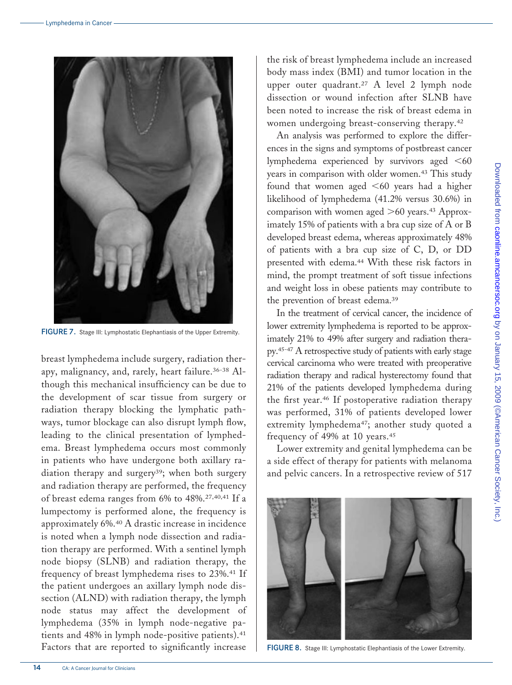

FIGURE 7. Stage III: Lymphostatic Elephantiasis of the Upper Extremity.

breast lymphedema include surgery, radiation therapy, malignancy, and, rarely, heart failure.36-38 Although this mechanical insufficiency can be due to the development of scar tissue from surgery or radiation therapy blocking the lymphatic pathways, tumor blockage can also disrupt lymph flow, leading to the clinical presentation of lymphedema. Breast lymphedema occurs most commonly in patients who have undergone both axillary radiation therapy and surgery<sup>39</sup>; when both surgery and radiation therapy are performed, the frequency of breast edema ranges from 6% to 48%.27,40,41 If a lumpectomy is performed alone, the frequency is approximately 6%.40 A drastic increase in incidence is noted when a lymph node dissection and radiation therapy are performed. With a sentinel lymph node biopsy (SLNB) and radiation therapy, the frequency of breast lymphedema rises to 23%.41 If the patient undergoes an axillary lymph node dissection (ALND) with radiation therapy, the lymph node status may affect the development of lymphedema (35% in lymph node-negative patients and 48% in lymph node-positive patients).<sup>41</sup> Factors that are reported to significantly increase

the risk of breast lymphedema include an increased body mass index (BMI) and tumor location in the upper outer quadrant.27 A level 2 lymph node dissection or wound infection after SLNB have been noted to increase the risk of breast edema in women undergoing breast-conserving therapy.42

An analysis was performed to explore the differences in the signs and symptoms of postbreast cancer lymphedema experienced by survivors aged <60 years in comparison with older women.43 This study found that women aged <60 years had a higher likelihood of lymphedema (41.2% versus 30.6%) in comparison with women aged  $>60$  years.<sup>43</sup> Approximately 15% of patients with a bra cup size of A or B developed breast edema, whereas approximately 48% of patients with a bra cup size of C, D, or DD presented with edema.44 With these risk factors in mind, the prompt treatment of soft tissue infections and weight loss in obese patients may contribute to the prevention of breast edema.39

In the treatment of cervical cancer, the incidence of lower extremity lymphedema is reported to be approximately 21% to 49% after surgery and radiation therapy.45-47 A retrospective study of patients with early stage cervical carcinoma who were treated with preoperative radiation therapy and radical hysterectomy found that 21% of the patients developed lymphedema during the first year.46 If postoperative radiation therapy was performed, 31% of patients developed lower extremity lymphedema<sup>47</sup>; another study quoted a frequency of 49% at 10 years.45

Lower extremity and genital lymphedema can be a side effect of therapy for patients with melanoma and pelvic cancers. In a retrospective review of 517



FIGURE 8. Stage III: Lymphostatic Elephantiasis of the Lower Extremity.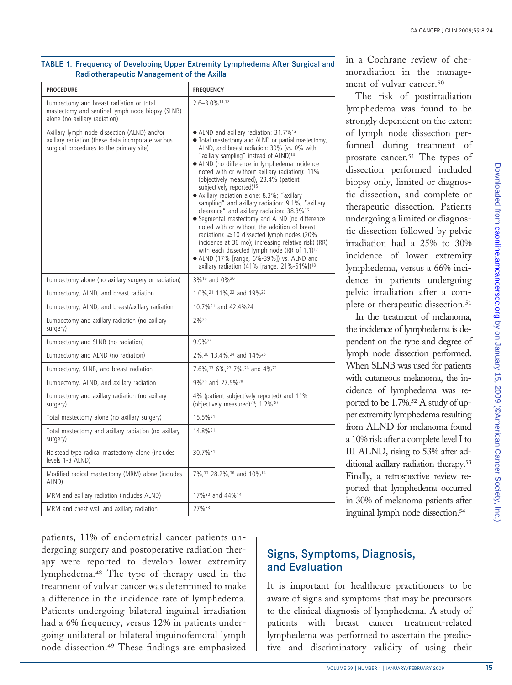| Lumpectomy and breast radiation or total<br>2.6-3.0%11,12<br>mastectomy and sentinel lymph node biopsy (SLNB)<br>alone (no axillary radiation)<br>Axillary lymph node dissection (ALND) and/or<br>• ALND and axillary radiation: 31.7% <sup>13</sup><br>axillary radiation (these data incorporate various<br>• Total mastectomy and ALND or partial mastectomy,<br>surgical procedures to the primary site)<br>ALND, and breast radiation: 30% (vs. 0% with<br>"axillary sampling" instead of ALND) <sup>14</sup><br>• ALND (no difference in lymphedema incidence<br>noted with or without axillary radiation): 11%<br>(objectively measured), 23.4% (patient<br>subjectively reported) <sup>15</sup><br>· Axillary radiation alone: 8.3%; "axillary<br>sampling" and axillary radiation: 9.1%; "axillary<br>clearance" and axillary radiation: 38.3% <sup>16</sup><br>• Segmental mastectomy and ALND (no difference<br>noted with or without the addition of breast<br>radiation): $\geq$ 10 dissected lymph nodes (20%<br>incidence at 36 mo); increasing relative risk) (RR)<br>with each dissected lymph node (RR of 1.1) <sup>17</sup><br>• ALND (17% [range, 6%-39%]) vs. ALND and<br>axillary radiation (41% [range, 21%-51%]) <sup>18</sup><br>Lumpectomy alone (no axillary surgery or radiation)<br>3% <sup>19</sup> and 0% <sup>20</sup><br>1.0%, <sup>21</sup> 11%, <sup>22</sup> and 19% <sup>23</sup><br>Lumpectomy, ALND, and breast radiation<br>10.7% <sup>21</sup> and 42.4%24<br>Lumpectomy, ALND, and breast/axillary radiation<br>Lumpectomy and axillary radiation (no axillary<br>2%20<br>surgery)<br>9.9%25<br>Lumpectomy and SLNB (no radiation)<br>Lumpectomy and ALND (no radiation)<br>2%, <sup>20</sup> 13.4%, <sup>24</sup> and 14% <sup>26</sup><br>7.6%, 27 6%, 22 7%, 26 and 4% 23<br>Lumpectomy, SLNB, and breast radiation<br>9% <sup>20</sup> and 27.5% <sup>28</sup><br>Lumpectomy, ALND, and axillary radiation<br>Lumpectomy and axillary radiation (no axillary<br>4% (patient subjectively reported) and 11%<br>(objectively measured) <sup>29</sup> ; 1.2% <sup>30</sup><br>surgery)<br>Total mastectomy alone (no axillary surgery)<br>15.5%31<br>Total mastectomy and axillary radiation (no axillary<br>14.8%31<br>surgery)<br>30.7%31<br>Halstead-type radical mastectomy alone (includes<br>levels 1-3 ALND)<br>Modified radical mastectomy (MRM) alone (includes<br>7%, 32 28.2%, 28 and 10% 14<br>ALND)<br>MRM and axillary radiation (includes ALND)<br>17% <sup>32</sup> and 44% <sup>14</sup><br>27%33<br>MRM and chest wall and axillary radiation | <b>PROCEDURE</b> | <b>FREQUENCY</b> |
|------------------------------------------------------------------------------------------------------------------------------------------------------------------------------------------------------------------------------------------------------------------------------------------------------------------------------------------------------------------------------------------------------------------------------------------------------------------------------------------------------------------------------------------------------------------------------------------------------------------------------------------------------------------------------------------------------------------------------------------------------------------------------------------------------------------------------------------------------------------------------------------------------------------------------------------------------------------------------------------------------------------------------------------------------------------------------------------------------------------------------------------------------------------------------------------------------------------------------------------------------------------------------------------------------------------------------------------------------------------------------------------------------------------------------------------------------------------------------------------------------------------------------------------------------------------------------------------------------------------------------------------------------------------------------------------------------------------------------------------------------------------------------------------------------------------------------------------------------------------------------------------------------------------------------------------------------------------------------------------------------------------------------------------------------------------------------------------------------------------------------------------------------------------------------------------------------------------------------------------------------------------------------------------------------------------------------------------------------------------------------------------------------------------------------------------------------------------------------------------------------------------------------------------------------------------------------------------------------------|------------------|------------------|
|                                                                                                                                                                                                                                                                                                                                                                                                                                                                                                                                                                                                                                                                                                                                                                                                                                                                                                                                                                                                                                                                                                                                                                                                                                                                                                                                                                                                                                                                                                                                                                                                                                                                                                                                                                                                                                                                                                                                                                                                                                                                                                                                                                                                                                                                                                                                                                                                                                                                                                                                                                                                            |                  |                  |
|                                                                                                                                                                                                                                                                                                                                                                                                                                                                                                                                                                                                                                                                                                                                                                                                                                                                                                                                                                                                                                                                                                                                                                                                                                                                                                                                                                                                                                                                                                                                                                                                                                                                                                                                                                                                                                                                                                                                                                                                                                                                                                                                                                                                                                                                                                                                                                                                                                                                                                                                                                                                            |                  |                  |
|                                                                                                                                                                                                                                                                                                                                                                                                                                                                                                                                                                                                                                                                                                                                                                                                                                                                                                                                                                                                                                                                                                                                                                                                                                                                                                                                                                                                                                                                                                                                                                                                                                                                                                                                                                                                                                                                                                                                                                                                                                                                                                                                                                                                                                                                                                                                                                                                                                                                                                                                                                                                            |                  |                  |
|                                                                                                                                                                                                                                                                                                                                                                                                                                                                                                                                                                                                                                                                                                                                                                                                                                                                                                                                                                                                                                                                                                                                                                                                                                                                                                                                                                                                                                                                                                                                                                                                                                                                                                                                                                                                                                                                                                                                                                                                                                                                                                                                                                                                                                                                                                                                                                                                                                                                                                                                                                                                            |                  |                  |
|                                                                                                                                                                                                                                                                                                                                                                                                                                                                                                                                                                                                                                                                                                                                                                                                                                                                                                                                                                                                                                                                                                                                                                                                                                                                                                                                                                                                                                                                                                                                                                                                                                                                                                                                                                                                                                                                                                                                                                                                                                                                                                                                                                                                                                                                                                                                                                                                                                                                                                                                                                                                            |                  |                  |
|                                                                                                                                                                                                                                                                                                                                                                                                                                                                                                                                                                                                                                                                                                                                                                                                                                                                                                                                                                                                                                                                                                                                                                                                                                                                                                                                                                                                                                                                                                                                                                                                                                                                                                                                                                                                                                                                                                                                                                                                                                                                                                                                                                                                                                                                                                                                                                                                                                                                                                                                                                                                            |                  |                  |
|                                                                                                                                                                                                                                                                                                                                                                                                                                                                                                                                                                                                                                                                                                                                                                                                                                                                                                                                                                                                                                                                                                                                                                                                                                                                                                                                                                                                                                                                                                                                                                                                                                                                                                                                                                                                                                                                                                                                                                                                                                                                                                                                                                                                                                                                                                                                                                                                                                                                                                                                                                                                            |                  |                  |
|                                                                                                                                                                                                                                                                                                                                                                                                                                                                                                                                                                                                                                                                                                                                                                                                                                                                                                                                                                                                                                                                                                                                                                                                                                                                                                                                                                                                                                                                                                                                                                                                                                                                                                                                                                                                                                                                                                                                                                                                                                                                                                                                                                                                                                                                                                                                                                                                                                                                                                                                                                                                            |                  |                  |
|                                                                                                                                                                                                                                                                                                                                                                                                                                                                                                                                                                                                                                                                                                                                                                                                                                                                                                                                                                                                                                                                                                                                                                                                                                                                                                                                                                                                                                                                                                                                                                                                                                                                                                                                                                                                                                                                                                                                                                                                                                                                                                                                                                                                                                                                                                                                                                                                                                                                                                                                                                                                            |                  |                  |
|                                                                                                                                                                                                                                                                                                                                                                                                                                                                                                                                                                                                                                                                                                                                                                                                                                                                                                                                                                                                                                                                                                                                                                                                                                                                                                                                                                                                                                                                                                                                                                                                                                                                                                                                                                                                                                                                                                                                                                                                                                                                                                                                                                                                                                                                                                                                                                                                                                                                                                                                                                                                            |                  |                  |
|                                                                                                                                                                                                                                                                                                                                                                                                                                                                                                                                                                                                                                                                                                                                                                                                                                                                                                                                                                                                                                                                                                                                                                                                                                                                                                                                                                                                                                                                                                                                                                                                                                                                                                                                                                                                                                                                                                                                                                                                                                                                                                                                                                                                                                                                                                                                                                                                                                                                                                                                                                                                            |                  |                  |
|                                                                                                                                                                                                                                                                                                                                                                                                                                                                                                                                                                                                                                                                                                                                                                                                                                                                                                                                                                                                                                                                                                                                                                                                                                                                                                                                                                                                                                                                                                                                                                                                                                                                                                                                                                                                                                                                                                                                                                                                                                                                                                                                                                                                                                                                                                                                                                                                                                                                                                                                                                                                            |                  |                  |
|                                                                                                                                                                                                                                                                                                                                                                                                                                                                                                                                                                                                                                                                                                                                                                                                                                                                                                                                                                                                                                                                                                                                                                                                                                                                                                                                                                                                                                                                                                                                                                                                                                                                                                                                                                                                                                                                                                                                                                                                                                                                                                                                                                                                                                                                                                                                                                                                                                                                                                                                                                                                            |                  |                  |
|                                                                                                                                                                                                                                                                                                                                                                                                                                                                                                                                                                                                                                                                                                                                                                                                                                                                                                                                                                                                                                                                                                                                                                                                                                                                                                                                                                                                                                                                                                                                                                                                                                                                                                                                                                                                                                                                                                                                                                                                                                                                                                                                                                                                                                                                                                                                                                                                                                                                                                                                                                                                            |                  |                  |
|                                                                                                                                                                                                                                                                                                                                                                                                                                                                                                                                                                                                                                                                                                                                                                                                                                                                                                                                                                                                                                                                                                                                                                                                                                                                                                                                                                                                                                                                                                                                                                                                                                                                                                                                                                                                                                                                                                                                                                                                                                                                                                                                                                                                                                                                                                                                                                                                                                                                                                                                                                                                            |                  |                  |
|                                                                                                                                                                                                                                                                                                                                                                                                                                                                                                                                                                                                                                                                                                                                                                                                                                                                                                                                                                                                                                                                                                                                                                                                                                                                                                                                                                                                                                                                                                                                                                                                                                                                                                                                                                                                                                                                                                                                                                                                                                                                                                                                                                                                                                                                                                                                                                                                                                                                                                                                                                                                            |                  |                  |
|                                                                                                                                                                                                                                                                                                                                                                                                                                                                                                                                                                                                                                                                                                                                                                                                                                                                                                                                                                                                                                                                                                                                                                                                                                                                                                                                                                                                                                                                                                                                                                                                                                                                                                                                                                                                                                                                                                                                                                                                                                                                                                                                                                                                                                                                                                                                                                                                                                                                                                                                                                                                            |                  |                  |

#### TABLE 1. Frequency of Developing Upper Extremity Lymphedema After Surgical and Radiotherapeutic Management of the Axilla

patients, 11% of endometrial cancer patients undergoing surgery and postoperative radiation therapy were reported to develop lower extremity lymphedema.48 The type of therapy used in the treatment of vulvar cancer was determined to make a difference in the incidence rate of lymphedema. Patients undergoing bilateral inguinal irradiation had a 6% frequency, versus 12% in patients undergoing unilateral or bilateral inguinofemoral lymph node dissection.49 These findings are emphasized in a Cochrane review of chemoradiation in the management of vulvar cancer.50

The risk of postirradiation lymphedema was found to be strongly dependent on the extent of lymph node dissection performed during treatment of prostate cancer.51 The types of dissection performed included biopsy only, limited or diagnostic dissection, and complete or therapeutic dissection. Patients undergoing a limited or diagnostic dissection followed by pelvic irradiation had a 25% to 30% incidence of lower extremity lymphedema, versus a 66% incidence in patients undergoing pelvic irradiation after a complete or therapeutic dissection.<sup>51</sup>

In the treatment of melanoma, the incidence of lymphedema is dependent on the type and degree of lymph node dissection performed. When SLNB was used for patients with cutaneous melanoma, the incidence of lymphedema was reported to be 1.7%.<sup>52</sup> A study of upper extremity lymphedema resulting from ALND for melanoma found a 10% risk after a complete level I to III ALND, rising to 53% after additional axillary radiation therapy.53 Finally, a retrospective review reported that lymphedema occurred in 30% of melanoma patients after inguinal lymph node dissection.54

# Signs, Symptoms, Diagnosis, and Evaluation

It is important for healthcare practitioners to be aware of signs and symptoms that may be precursors to the clinical diagnosis of lymphedema. A study of patients with breast cancer treatment-related lymphedema was performed to ascertain the predictive and discriminatory validity of using their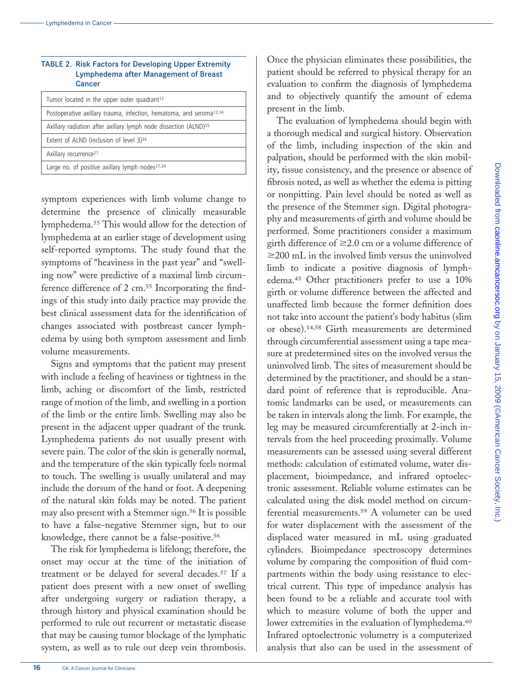#### TABLE 2. Risk Factors for Developing Upper Extremity Lymphedema after Management of Breast Cancer

| Tumor located in the upper outer quadrant <sup>12</sup>                         |
|---------------------------------------------------------------------------------|
| Postoperative axillary trauma, infection, hematoma, and seroma <sup>12,34</sup> |
| Axillary radiation after axillary lymph node dissection (ALND) <sup>35</sup>    |
| Extent of ALND (inclusion of level 3) <sup>34</sup>                             |
| Axillary recurrence <sup>27</sup>                                               |
| Large no. of positive axillary lymph nodes <sup>27,34</sup>                     |

symptom experiences with limb volume change to determine the presence of clinically measurable lymphedema.55 This would allow for the detection of lymphedema at an earlier stage of development using self-reported symptoms. The study found that the symptoms of "heaviness in the past year" and "swelling now" were predictive of a maximal limb circumference difference of 2 cm.55 Incorporating the findings of this study into daily practice may provide the best clinical assessment data for the identification of changes associated with postbreast cancer lymphedema by using both symptom assessment and limb volume measurements.

Signs and symptoms that the patient may present with include a feeling of heaviness or tightness in the limb, aching or discomfort of the limb, restricted range of motion of the limb, and swelling in a portion of the limb or the entire limb. Swelling may also be present in the adjacent upper quadrant of the trunk. Lymphedema patients do not usually present with severe pain. The color of the skin is generally normal, and the temperature of the skin typically feels normal to touch. The swelling is usually unilateral and may include the dorsum of the hand or foot. A deepening of the natural skin folds may be noted. The patient may also present with a Stemmer sign.56 It is possible to have a false-negative Stemmer sign, but to our knowledge, there cannot be a false-positive.56

The risk for lymphedema is lifelong; therefore, the onset may occur at the time of the initiation of treatment or be delayed for several decades.57 If a patient does present with a new onset of swelling after undergoing surgery or radiation therapy, a through history and physical examination should be performed to rule out recurrent or metastatic disease that may be causing tumor blockage of the lymphatic system, as well as to rule out deep vein thrombosis.

Once the physician eliminates these possibilities, the patient should be referred to physical therapy for an evaluation to confirm the diagnosis of lymphedema and to objectively quantify the amount of edema present in the limb.

The evaluation of lymphedema should begin with a thorough medical and surgical history. Observation of the limb, including inspection of the skin and palpation, should be performed with the skin mobility, tissue consistency, and the presence or absence of fibrosis noted, as well as whether the edema is pitting or nonpitting. Pain level should be noted as well as the presence of the Stemmer sign. Digital photography and measurements of girth and volume should be performed. Some practitioners consider a maximum girth difference of  $\geq 2.0$  cm or a volume difference of  $\geq$ 200 mL in the involved limb versus the uninvolved limb to indicate a positive diagnosis of lymphedema.43 Other practitioners prefer to use a 10% girth or volume difference between the affected and unaffected limb because the former definition does not take into account the patient's body habitus (slim or obese).14,58 Girth measurements are determined through circumferential assessment using a tape measure at predetermined sites on the involved versus the uninvolved limb. The sites of measurement should be determined by the practitioner, and should be a standard point of reference that is reproducible. Anatomic landmarks can be used, or measurements can be taken in intervals along the limb. For example, the leg may be measured circumferentially at 2-inch intervals from the heel proceeding proximally. Volume measurements can be assessed using several different methods: calculation of estimated volume, water displacement, bioimpedance, and infrared optoelectronic assessment. Reliable volume estimates can be calculated using the disk model method on circumferential measurements.59 A volumeter can be used for water displacement with the assessment of the displaced water measured in mL using graduated cylinders. Bioimpedance spectroscopy determines volume by comparing the composition of fluid compartments within the body using resistance to electrical current. This type of impedance analysis has been found to be a reliable and accurate tool with which to measure volume of both the upper and lower extremities in the evaluation of lymphedema.<sup>60</sup> Infrared optoelectronic volumetry is a computerized analysis that also can be used in the assessment of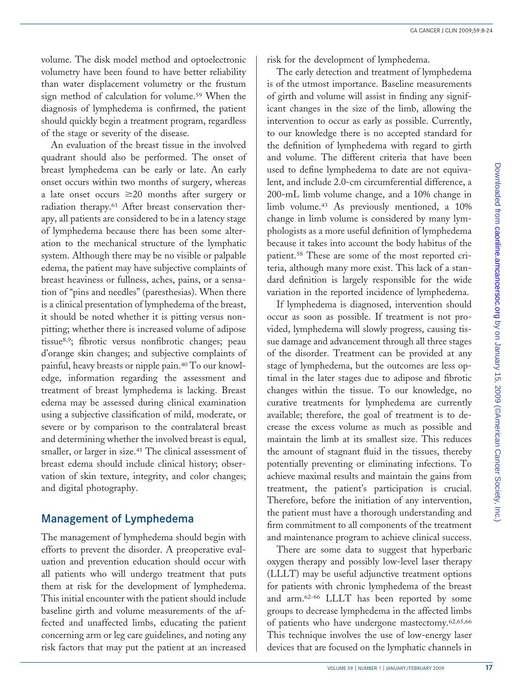volume. The disk model method and optoelectronic volumetry have been found to have better reliability than water displacement volumetry or the frustum sign method of calculation for volume.59 When the diagnosis of lymphedema is confirmed, the patient should quickly begin a treatment program, regardless of the stage or severity of the disease.

An evaluation of the breast tissue in the involved quadrant should also be performed. The onset of breast lymphedema can be early or late. An early onset occurs within two months of surgery, whereas a late onset occurs  $\geq 20$  months after surgery or radiation therapy.61 After breast conservation therapy, all patients are considered to be in a latency stage of lymphedema because there has been some alteration to the mechanical structure of the lymphatic system. Although there may be no visible or palpable edema, the patient may have subjective complaints of breast heaviness or fullness, aches, pains, or a sensation of "pins and needles" (paresthesias). When there is a clinical presentation of lymphedema of the breast, it should be noted whether it is pitting versus nonpitting; whether there is increased volume of adipose tissue8,9; fibrotic versus nonfibrotic changes; peau d'orange skin changes; and subjective complaints of painful, heavy breasts or nipple pain.40 To our knowledge, information regarding the assessment and treatment of breast lymphedema is lacking. Breast edema may be assessed during clinical examination using a subjective classification of mild, moderate, or severe or by comparison to the contralateral breast and determining whether the involved breast is equal, smaller, or larger in size.<sup>41</sup> The clinical assessment of breast edema should include clinical history; observation of skin texture, integrity, and color changes; and digital photography.

# Management of Lymphedema

The management of lymphedema should begin with efforts to prevent the disorder. A preoperative evaluation and prevention education should occur with all patients who will undergo treatment that puts them at risk for the development of lymphedema. This initial encounter with the patient should include baseline girth and volume measurements of the affected and unaffected limbs, educating the patient concerning arm or leg care guidelines, and noting any risk factors that may put the patient at an increased risk for the development of lymphedema.

The early detection and treatment of lymphedema is of the utmost importance. Baseline measurements of girth and volume will assist in finding any significant changes in the size of the limb, allowing the intervention to occur as early as possible. Currently, to our knowledge there is no accepted standard for the definition of lymphedema with regard to girth and volume. The different criteria that have been used to define lymphedema to date are not equivalent, and include 2.0-cm circumferential difference, a 200-mL limb volume change, and a 10% change in limb volume.43 As previously mentioned, a 10% change in limb volume is considered by many lymphologists as a more useful definition of lymphedema because it takes into account the body habitus of the patient.58 These are some of the most reported criteria, although many more exist. This lack of a standard definition is largely responsible for the wide variation in the reported incidence of lymphedema.

If lymphedema is diagnosed, intervention should occur as soon as possible. If treatment is not provided, lymphedema will slowly progress, causing tissue damage and advancement through all three stages of the disorder. Treatment can be provided at any stage of lymphedema, but the outcomes are less optimal in the later stages due to adipose and fibrotic changes within the tissue. To our knowledge, no curative treatments for lymphedema are currently available; therefore, the goal of treatment is to decrease the excess volume as much as possible and maintain the limb at its smallest size. This reduces the amount of stagnant fluid in the tissues, thereby potentially preventing or eliminating infections. To achieve maximal results and maintain the gains from treatment, the patient's participation is crucial. Therefore, before the initiation of any intervention, the patient must have a thorough understanding and firm commitment to all components of the treatment and maintenance program to achieve clinical success.

There are some data to suggest that hyperbaric oxygen therapy and possibly low-level laser therapy (LLLT) may be useful adjunctive treatment options for patients with chronic lymphedema of the breast and arm.62-66 LLLT has been reported by some groups to decrease lymphedema in the affected limbs of patients who have undergone mastectomy.62,65,66 This technique involves the use of low-energy laser devices that are focused on the lymphatic channels in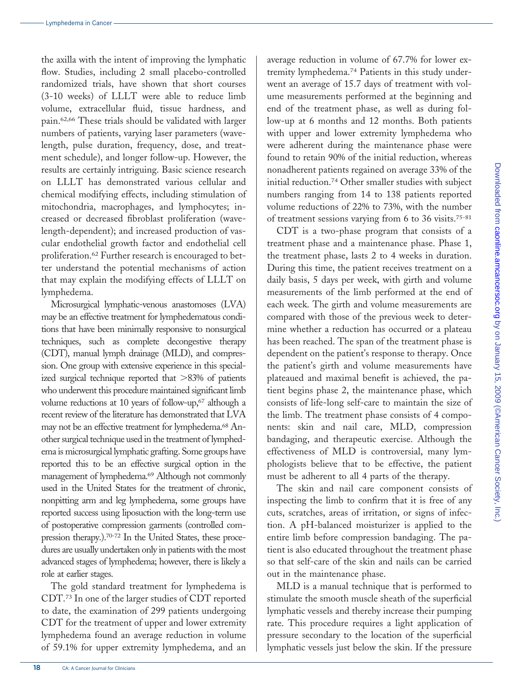the axilla with the intent of improving the lymphatic flow. Studies, including 2 small placebo-controlled randomized trials, have shown that short courses (3-10 weeks) of LLLT were able to reduce limb volume, extracellular fluid, tissue hardness, and pain.62,66 These trials should be validated with larger numbers of patients, varying laser parameters (wavelength, pulse duration, frequency, dose, and treatment schedule), and longer follow-up. However, the results are certainly intriguing. Basic science research on LLLT has demonstrated various cellular and chemical modifying effects, including stimulation of mitochondria, macrophages, and lymphocytes; increased or decreased fibroblast proliferation (wavelength-dependent); and increased production of vascular endothelial growth factor and endothelial cell proliferation.62 Further research is encouraged to better understand the potential mechanisms of action that may explain the modifying effects of LLLT on lymphedema.

Microsurgical lymphatic-venous anastomoses (LVA) may be an effective treatment for lymphedematous conditions that have been minimally responsive to nonsurgical techniques, such as complete decongestive therapy (CDT), manual lymph drainage (MLD), and compression. One group with extensive experience in this specialized surgical technique reported that  $>83\%$  of patients who underwent this procedure maintained significant limb volume reductions at 10 years of follow-up,<sup>67</sup> although a recent review of the literature has demonstrated that LVA may not be an effective treatment for lymphedema.68 Another surgical technique used in the treatment of lymphedema is microsurgical lymphatic grafting. Some groups have reported this to be an effective surgical option in the management of lymphedema.69 Although not commonly used in the United States for the treatment of chronic, nonpitting arm and leg lymphedema, some groups have reported success using liposuction with the long-term use of postoperative compression garments (controlled compression therapy.).70-72 In the United States, these procedures are usually undertaken only in patients with the most advanced stages of lymphedema; however, there is likely a role at earlier stages.

The gold standard treatment for lymphedema is CDT.73 In one of the larger studies of CDT reported to date, the examination of 299 patients undergoing CDT for the treatment of upper and lower extremity lymphedema found an average reduction in volume of 59.1% for upper extremity lymphedema, and an

average reduction in volume of 67.7% for lower extremity lymphedema.74 Patients in this study underwent an average of 15.7 days of treatment with volume measurements performed at the beginning and end of the treatment phase, as well as during follow-up at 6 months and 12 months. Both patients with upper and lower extremity lymphedema who were adherent during the maintenance phase were found to retain 90% of the initial reduction, whereas nonadherent patients regained on average 33% of the initial reduction.74 Other smaller studies with subject numbers ranging from 14 to 138 patients reported volume reductions of 22% to 73%, with the number of treatment sessions varying from 6 to 36 visits.<sup>75-81</sup>

CDT is a two-phase program that consists of a treatment phase and a maintenance phase. Phase 1, the treatment phase, lasts 2 to 4 weeks in duration. During this time, the patient receives treatment on a daily basis, 5 days per week, with girth and volume measurements of the limb performed at the end of each week. The girth and volume measurements are compared with those of the previous week to determine whether a reduction has occurred or a plateau has been reached. The span of the treatment phase is dependent on the patient's response to therapy. Once the patient's girth and volume measurements have plateaued and maximal benefit is achieved, the patient begins phase 2, the maintenance phase, which consists of life-long self-care to maintain the size of the limb. The treatment phase consists of 4 components: skin and nail care, MLD, compression bandaging, and therapeutic exercise. Although the effectiveness of MLD is controversial, many lymphologists believe that to be effective, the patient must be adherent to all 4 parts of the therapy.

The skin and nail care component consists of inspecting the limb to confirm that it is free of any cuts, scratches, areas of irritation, or signs of infection. A pH-balanced moisturizer is applied to the entire limb before compression bandaging. The patient is also educated throughout the treatment phase so that self-care of the skin and nails can be carried out in the maintenance phase.

MLD is a manual technique that is performed to stimulate the smooth muscle sheath of the superficial lymphatic vessels and thereby increase their pumping rate. This procedure requires a light application of pressure secondary to the location of the superficial lymphatic vessels just below the skin. If the pressure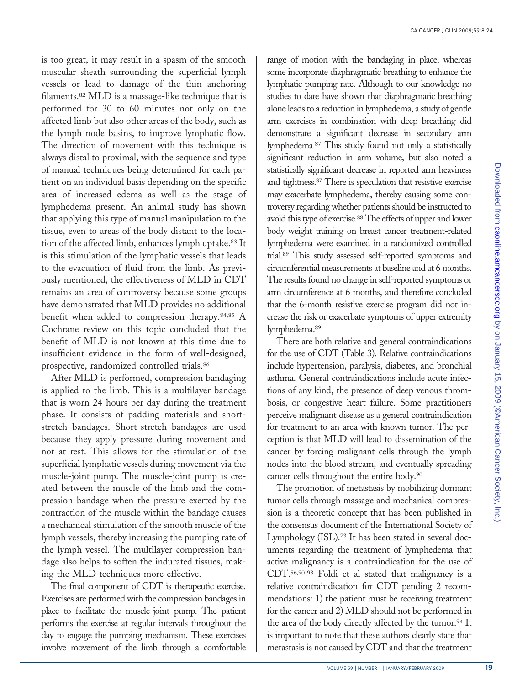is too great, it may result in a spasm of the smooth muscular sheath surrounding the superficial lymph vessels or lead to damage of the thin anchoring filaments.82 MLD is a massage-like technique that is performed for 30 to 60 minutes not only on the affected limb but also other areas of the body, such as the lymph node basins, to improve lymphatic flow. The direction of movement with this technique is always distal to proximal, with the sequence and type of manual techniques being determined for each patient on an individual basis depending on the specific area of increased edema as well as the stage of lymphedema present. An animal study has shown that applying this type of manual manipulation to the tissue, even to areas of the body distant to the location of the affected limb, enhances lymph uptake.<sup>83</sup> It is this stimulation of the lymphatic vessels that leads to the evacuation of fluid from the limb. As previously mentioned, the effectiveness of MLD in CDT remains an area of controversy because some groups have demonstrated that MLD provides no additional benefit when added to compression therapy.84,85 A Cochrane review on this topic concluded that the benefit of MLD is not known at this time due to insufficient evidence in the form of well-designed, prospective, randomized controlled trials.<sup>86</sup>

After MLD is performed, compression bandaging is applied to the limb. This is a multilayer bandage that is worn 24 hours per day during the treatment phase. It consists of padding materials and shortstretch bandages. Short-stretch bandages are used because they apply pressure during movement and not at rest. This allows for the stimulation of the superficial lymphatic vessels during movement via the muscle-joint pump. The muscle-joint pump is created between the muscle of the limb and the compression bandage when the pressure exerted by the contraction of the muscle within the bandage causes a mechanical stimulation of the smooth muscle of the lymph vessels, thereby increasing the pumping rate of the lymph vessel. The multilayer compression bandage also helps to soften the indurated tissues, making the MLD techniques more effective.

The final component of CDT is therapeutic exercise. Exercises are performed with the compression bandages in place to facilitate the muscle-joint pump. The patient performs the exercise at regular intervals throughout the day to engage the pumping mechanism. These exercises involve movement of the limb through a comfortable range of motion with the bandaging in place, whereas some incorporate diaphragmatic breathing to enhance the lymphatic pumping rate. Although to our knowledge no studies to date have shown that diaphragmatic breathing alone leads to a reduction in lymphedema, a study of gentle arm exercises in combination with deep breathing did demonstrate a significant decrease in secondary arm lymphedema.87 This study found not only a statistically significant reduction in arm volume, but also noted a statistically significant decrease in reported arm heaviness and tightness.87 There is speculation that resistive exercise may exacerbate lymphedema, thereby causing some controversy regarding whether patients should be instructed to avoid this type of exercise.88 The effects of upper and lower body weight training on breast cancer treatment-related lymphedema were examined in a randomized controlled trial.89 This study assessed self-reported symptoms and circumferential measurements at baseline and at 6 months. The results found no change in self-reported symptoms or arm circumference at 6 months, and therefore concluded that the 6-month resistive exercise program did not increase the risk or exacerbate symptoms of upper extremity lymphedema.89

There are both relative and general contraindications for the use of CDT (Table 3). Relative contraindications include hypertension, paralysis, diabetes, and bronchial asthma. General contraindications include acute infections of any kind, the presence of deep venous thrombosis, or congestive heart failure. Some practitioners perceive malignant disease as a general contraindication for treatment to an area with known tumor. The perception is that MLD will lead to dissemination of the cancer by forcing malignant cells through the lymph nodes into the blood stream, and eventually spreading cancer cells throughout the entire body.90

The promotion of metastasis by mobilizing dormant tumor cells through massage and mechanical compression is a theoretic concept that has been published in the consensus document of the International Society of Lymphology (ISL).73 It has been stated in several documents regarding the treatment of lymphedema that active malignancy is a contraindication for the use of CDT.56,90-93 Foldi et al stated that malignancy is a relative contraindication for CDT pending 2 recommendations: 1) the patient must be receiving treatment for the cancer and 2) MLD should not be performed in the area of the body directly affected by the tumor.<sup>94</sup> It is important to note that these authors clearly state that metastasis is not caused by CDT and that the treatment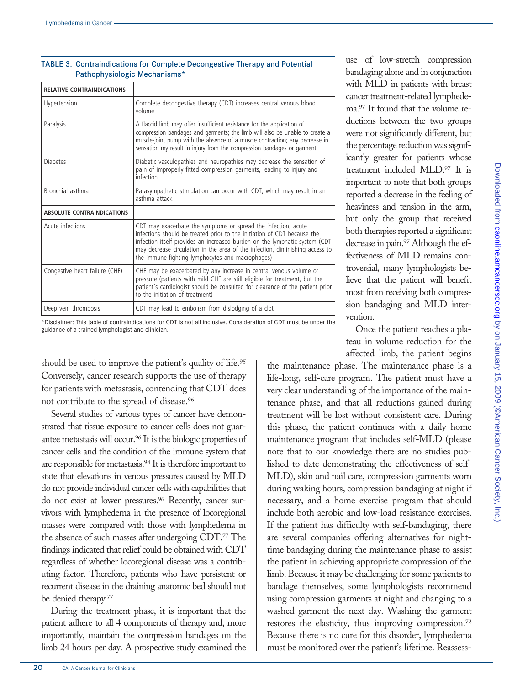| <b>RELATIVE CONTRAINDICATIONS</b> |                                                                                                                                                                                                                                                                                                                                                             |
|-----------------------------------|-------------------------------------------------------------------------------------------------------------------------------------------------------------------------------------------------------------------------------------------------------------------------------------------------------------------------------------------------------------|
| Hypertension                      | Complete decongestive therapy (CDT) increases central venous blood<br>volume                                                                                                                                                                                                                                                                                |
| Paralysis                         | A flaccid limb may offer insufficient resistance for the application of<br>compression bandages and garments; the limb will also be unable to create a<br>muscle-joint pump with the absence of a muscle contraction; any decrease in<br>sensation my result in injury from the compression bandages or garment                                             |
| <b>Diabetes</b>                   | Diabetic vasculopathies and neuropathies may decrease the sensation of<br>pain of improperly fitted compression garments, leading to injury and<br>infection                                                                                                                                                                                                |
| Bronchial asthma                  | Parasympathetic stimulation can occur with CDT, which may result in an<br>asthma attack                                                                                                                                                                                                                                                                     |
| <b>ABSOLUTE CONTRAINDICATIONS</b> |                                                                                                                                                                                                                                                                                                                                                             |
| Acute infections                  | CDT may exacerbate the symptoms or spread the infection; acute<br>infections should be treated prior to the initiation of CDT because the<br>infection itself provides an increased burden on the lymphatic system (CDT<br>may decrease circulation in the area of the infection, diminishing access to<br>the immune-fighting lymphocytes and macrophages) |
| Congestive heart failure (CHF)    | CHF may be exacerbated by any increase in central venous volume or<br>pressure (patients with mild CHF are still eligible for treatment, but the<br>patient's cardiologist should be consulted for clearance of the patient prior<br>to the initiation of treatment)                                                                                        |
| Deep vein thrombosis              | CDT may lead to embolism from dislodging of a clot                                                                                                                                                                                                                                                                                                          |

#### TABLE 3. Contraindications for Complete Decongestive Therapy and Potential Pathophysiologic Mechanisms\*

should be used to improve the patient's quality of life.<sup>95</sup> Conversely, cancer research supports the use of therapy for patients with metastasis, contending that CDT does not contribute to the spread of disease.96

Several studies of various types of cancer have demonstrated that tissue exposure to cancer cells does not guarantee metastasis will occur.96 It is the biologic properties of cancer cells and the condition of the immune system that are responsible for metastasis.94 It is therefore important to state that elevations in venous pressures caused by MLD do not provide individual cancer cells with capabilities that do not exist at lower pressures.<sup>96</sup> Recently, cancer survivors with lymphedema in the presence of locoregional masses were compared with those with lymphedema in the absence of such masses after undergoing CDT.77 The findings indicated that relief could be obtained with CDT regardless of whether locoregional disease was a contributing factor. Therefore, patients who have persistent or recurrent disease in the draining anatomic bed should not be denied therapy.77

During the treatment phase, it is important that the patient adhere to all 4 components of therapy and, more importantly, maintain the compression bandages on the limb 24 hours per day. A prospective study examined the use of low-stretch compression bandaging alone and in conjunction with MLD in patients with breast cancer treatment-related lymphedema.97 It found that the volume reductions between the two groups were not significantly different, but the percentage reduction was significantly greater for patients whose treatment included MLD.97 It is important to note that both groups reported a decrease in the feeling of heaviness and tension in the arm, but only the group that received both therapies reported a significant decrease in pain.97 Although the effectiveness of MLD remains controversial, many lymphologists believe that the patient will benefit most from receiving both compression bandaging and MLD intervention.

Once the patient reaches a plateau in volume reduction for the affected limb, the patient begins

the maintenance phase. The maintenance phase is a life-long, self-care program. The patient must have a very clear understanding of the importance of the maintenance phase, and that all reductions gained during treatment will be lost without consistent care. During this phase, the patient continues with a daily home maintenance program that includes self-MLD (please note that to our knowledge there are no studies published to date demonstrating the effectiveness of self-MLD), skin and nail care, compression garments worn during waking hours, compression bandaging at night if necessary, and a home exercise program that should include both aerobic and low-load resistance exercises. If the patient has difficulty with self-bandaging, there are several companies offering alternatives for nighttime bandaging during the maintenance phase to assist the patient in achieving appropriate compression of the limb. Because it may be challenging for some patients to bandage themselves, some lymphologists recommend using compression garments at night and changing to a washed garment the next day. Washing the garment restores the elasticity, thus improving compression.72 Because there is no cure for this disorder, lymphedema must be monitored over the patient's lifetime. Reassess-

<sup>\*</sup>Disclaimer: This table of contraindications for CDT is not all inclusive. Consideration of CDT must be under the guidance of a trained lymphologist and clinician.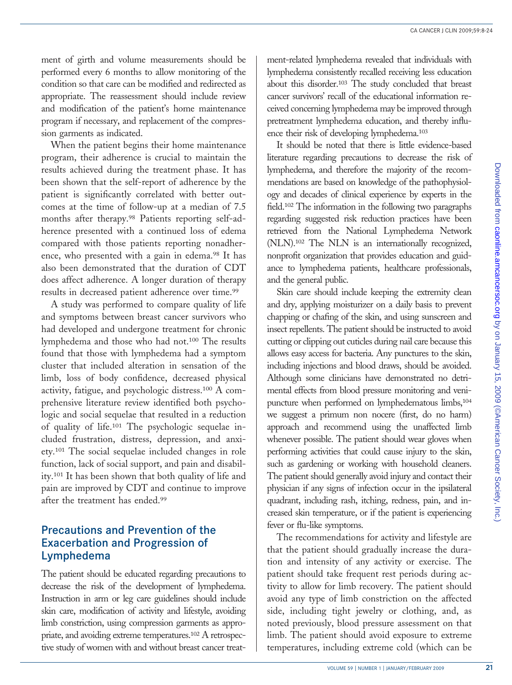ment of girth and volume measurements should be performed every 6 months to allow monitoring of the condition so that care can be modified and redirected as appropriate. The reassessment should include review and modification of the patient's home maintenance program if necessary, and replacement of the compression garments as indicated.

When the patient begins their home maintenance program, their adherence is crucial to maintain the results achieved during the treatment phase. It has been shown that the self-report of adherence by the patient is significantly correlated with better outcomes at the time of follow-up at a median of 7.5 months after therapy.98 Patients reporting self-adherence presented with a continued loss of edema compared with those patients reporting nonadherence, who presented with a gain in edema.98 It has also been demonstrated that the duration of CDT does affect adherence. A longer duration of therapy results in decreased patient adherence over time.<sup>99</sup>

A study was performed to compare quality of life and symptoms between breast cancer survivors who had developed and undergone treatment for chronic lymphedema and those who had not.100 The results found that those with lymphedema had a symptom cluster that included alteration in sensation of the limb, loss of body confidence, decreased physical activity, fatigue, and psychologic distress.100 A comprehensive literature review identified both psychologic and social sequelae that resulted in a reduction of quality of life.101 The psychologic sequelae included frustration, distress, depression, and anxiety.101 The social sequelae included changes in role function, lack of social support, and pain and disability.101 It has been shown that both quality of life and pain are improved by CDT and continue to improve after the treatment has ended.99

# Precautions and Prevention of the Exacerbation and Progression of Lymphedema

The patient should be educated regarding precautions to decrease the risk of the development of lymphedema. Instruction in arm or leg care guidelines should include skin care, modification of activity and lifestyle, avoiding limb constriction, using compression garments as appropriate, and avoiding extreme temperatures.102 A retrospective study of women with and without breast cancer treat-

ment-related lymphedema revealed that individuals with lymphedema consistently recalled receiving less education about this disorder.103 The study concluded that breast cancer survivors' recall of the educational information received concerning lymphedema may be improved through pretreatment lymphedema education, and thereby influence their risk of developing lymphedema.103

It should be noted that there is little evidence-based literature regarding precautions to decrease the risk of lymphedema, and therefore the majority of the recommendations are based on knowledge of the pathophysiology and decades of clinical experience by experts in the field.102 The information in the following two paragraphs regarding suggested risk reduction practices have been retrieved from the National Lymphedema Network (NLN).102 The NLN is an internationally recognized, nonprofit organization that provides education and guidance to lymphedema patients, healthcare professionals, and the general public.

Skin care should include keeping the extremity clean and dry, applying moisturizer on a daily basis to prevent chapping or chafing of the skin, and using sunscreen and insect repellents. The patient should be instructed to avoid cutting or clipping out cuticles during nail care because this allows easy access for bacteria. Any punctures to the skin, including injections and blood draws, should be avoided. Although some clinicians have demonstrated no detrimental effects from blood pressure monitoring and venipuncture when performed on lymphedematous limbs,<sup>104</sup> we suggest a primum non nocere (first, do no harm) approach and recommend using the unaffected limb whenever possible. The patient should wear gloves when performing activities that could cause injury to the skin, such as gardening or working with household cleaners. The patient should generally avoid injury and contact their physician if any signs of infection occur in the ipsilateral quadrant, including rash, itching, redness, pain, and increased skin temperature, or if the patient is experiencing fever or flu-like symptoms.

The recommendations for activity and lifestyle are that the patient should gradually increase the duration and intensity of any activity or exercise. The patient should take frequent rest periods during activity to allow for limb recovery. The patient should avoid any type of limb constriction on the affected side, including tight jewelry or clothing, and, as noted previously, blood pressure assessment on that limb. The patient should avoid exposure to extreme temperatures, including extreme cold (which can be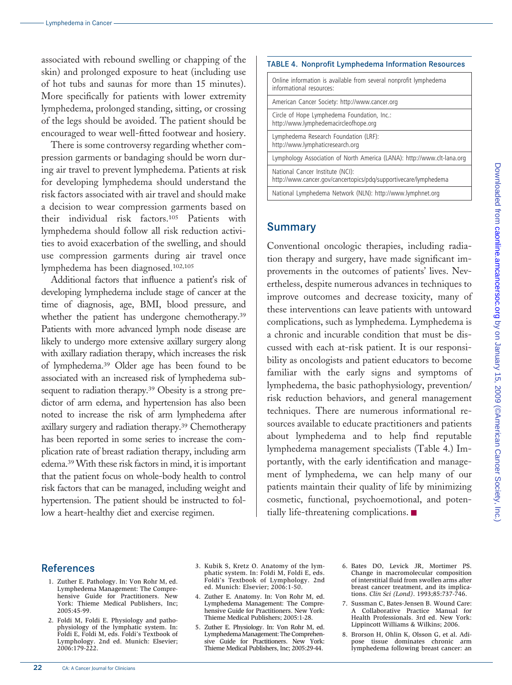associated with rebound swelling or chapping of the skin) and prolonged exposure to heat (including use of hot tubs and saunas for more than 15 minutes). More specifically for patients with lower extremity lymphedema, prolonged standing, sitting, or crossing of the legs should be avoided. The patient should be encouraged to wear well-fitted footwear and hosiery.

There is some controversy regarding whether compression garments or bandaging should be worn during air travel to prevent lymphedema. Patients at risk for developing lymphedema should understand the risk factors associated with air travel and should make a decision to wear compression garments based on their individual risk factors.105 Patients with lymphedema should follow all risk reduction activities to avoid exacerbation of the swelling, and should use compression garments during air travel once lymphedema has been diagnosed.102,105

Additional factors that influence a patient's risk of developing lymphedema include stage of cancer at the time of diagnosis, age, BMI, blood pressure, and whether the patient has undergone chemotherapy.<sup>39</sup> Patients with more advanced lymph node disease are likely to undergo more extensive axillary surgery along with axillary radiation therapy, which increases the risk of lymphedema.39 Older age has been found to be associated with an increased risk of lymphedema subsequent to radiation therapy.<sup>39</sup> Obesity is a strong predictor of arm edema, and hypertension has also been noted to increase the risk of arm lymphedema after axillary surgery and radiation therapy.39 Chemotherapy has been reported in some series to increase the complication rate of breast radiation therapy, including arm edema.39 With these risk factors in mind, it is important that the patient focus on whole-body health to control risk factors that can be managed, including weight and hypertension. The patient should be instructed to follow a heart-healthy diet and exercise regimen.

#### TABLE 4. Nonprofit Lymphedema Information Resources

| Online information is available from several nonprofit lymphedema<br>informational resources:        |
|------------------------------------------------------------------------------------------------------|
| American Cancer Society: http://www.cancer.org                                                       |
| Circle of Hope Lymphedema Foundation, Inc.:<br>http://www.lymphedemacircleofhope.org                 |
| Lymphedema Research Foundation (LRF):<br>http://www.lymphaticresearch.org                            |
| Lymphology Association of North America (LANA): http://www.clt-lana.org                              |
| National Cancer Institute (NCI):<br>http://www.cancer.gov/cancertopics/pdg/supportivecare/lymphedema |
| National Lymphedema Network (NLN): http://www.lymphnet.org                                           |

### Summary

Conventional oncologic therapies, including radiation therapy and surgery, have made significant improvements in the outcomes of patients' lives. Nevertheless, despite numerous advances in techniques to improve outcomes and decrease toxicity, many of these interventions can leave patients with untoward complications, such as lymphedema. Lymphedema is a chronic and incurable condition that must be discussed with each at-risk patient. It is our responsibility as oncologists and patient educators to become familiar with the early signs and symptoms of lymphedema, the basic pathophysiology, prevention/ risk reduction behaviors, and general management techniques. There are numerous informational resources available to educate practitioners and patients about lymphedema and to help find reputable lymphedema management specialists (Table 4.) Importantly, with the early identification and management of lymphedema, we can help many of our patients maintain their quality of life by minimizing cosmetic, functional, psychoemotional, and potentially life-threatening complications.  $\blacksquare$ 

### References

- 1. Zuther E. Pathology. In: Von Rohr M, ed. Lymphedema Management: The Comprehensive Guide for Practitioners. New York: Thieme Medical Publishers, Inc; 2005:45-99.
- 2. Foldi M, Foldi E. Physiology and pathophysiology of the lymphatic system. In: Foldi E, Foldi M, eds. Foldi's Textbook of Lymphology. 2nd ed. Munich: Elsevier; 2006:179-222.
- 3. Kubik S, Kretz O. Anatomy of the lymphatic system. In: Foldi M, Foldi E, eds. Foldi's Textbook of Lymphology. 2nd ed. Munich: Elsevier; 2006:1-50.
- 4. Zuther E. Anatomy. In: Von Rohr M, ed. Lymphedema Management: The Comprehensive Guide for Practitioners. New York: Thieme Medical Publishers; 2005:1-28.
- 5. Zuther E. Physiology. In: Von Rohr M, ed. Lymphedema Management: The Comprehensive Guide for Practitioners. New York: Thieme Medical Publishers, Inc; 2005:29-44.
- 6. Bates DO, Levick JR, Mortimer PS. Change in macromolecular composition of interstitial fluid from swollen arms after breast cancer treatment, and its implications. *Clin Sci (Lond)*. 1993;85:737-746.
- 7. Sussman C, Bates-Jensen B. Wound Care: A Collaborative Practice Manual for Health Professionals. 3rd ed. New York: Lippincott Williams & Wilkins; 2006.
- 8. Brorson H, Ohlin K, Olsson G, et al. Adipose tissue dominates chronic arm lymphedema following breast cancer: an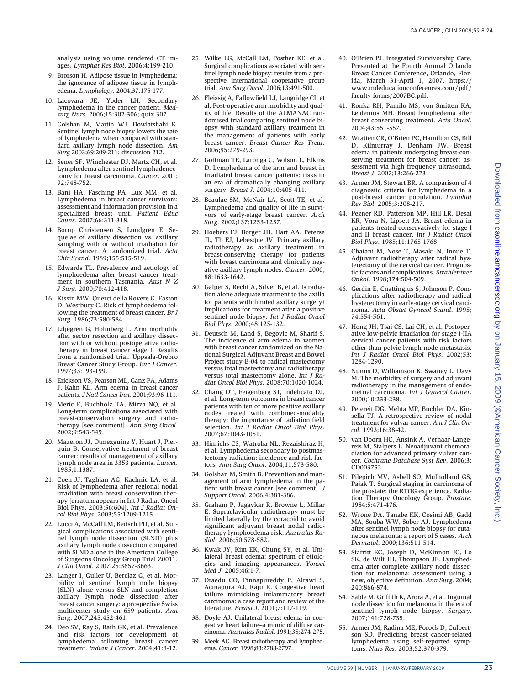analysis using volume rendered CT images. *Lymphat Res Biol*. 2006;4:199-210.

- 9. Brorson H. Adipose tissue in lymphedema: the ignorance of adipose tissue in lymphedema. *Lymphology*. 2004;37:175-177.
- 10. Lacovara JE, Yoder LH. Secondary lymphedema in the cancer patient. *Medsurg Nurs.* 2006;15:302-306; quiz 307.
- 11. Golshan M, Martin WJ, Dowlatshahi K. Sentinel lymph node biopsy lowers the rate of lymphedema when compared with standard axillary lymph node dissection. *Am Surg* 2003;69:209-211; discussion 212.
- 12. Sener SF, Winchester DJ, Martz CH, et al. Lymphedema after sentinel lymphadenectomy for breast carcinoma. *Cancer*. 2001; 92:748-752.
- 13. Bani HA, Fasching PA, Lux MM, et al. Lymphedema in breast cancer survivors: assessment and information provision in a specialized breast unit. *Patient Educ Couns*. 2007;66:311-318.
- 14. Borup Christensen S, Lundgren E. Sequelae of axillary dissection vs. axillary sampling with or without irradiation for breast cancer. A randomized trial. *Acta Chir Scand*. 1989;155:515-519.
- 15. Edwards TL. Prevalence and aetiology of lymphoedema after breast cancer treatment in southern Tasmania. *Aust N Z J Surg*. 2000;70:412-418.
- 16. Kissin MW, Querci della Rovere G, Easton D, Westbury G. Risk of lymphoedema following the treatment of breast cancer. *Br J Surg*. 1986;73:580-584.
- 17. Liljegren G, Holmberg L. Arm morbidity after sector resection and axillary dissection with or without postoperative radiotherapy in breast cancer stage I. Results from a randomised trial. Uppsala-Orebro Breast Cancer Study Group. *Eur J Cancer*. 1997;33:193-199.
- 18. Erickson VS, Pearson ML, Ganz PA, Adams J, Kahn KL. Arm edema in breast cancer patients. *J Natl Cancer Inst*. 2001;93:96-111.
- 19. Meric F, Buchholz TA, Mirza NQ, et al. Long-term complications associated with breast-conservation surgery and radiotherapy [see comment]. *Ann Surg Oncol*. 2002;9:543-549.
- 20. Mazeron JJ, Otmezguine Y, Huart J, Pierquin B. Conservative treatment of breast cancer: results of management of axillary lymph node area in 3353 patients. *Lancet*. 1985;1:1387.
- 21. Coen JJ, Taghian AG, Kachnic LA, et al. Risk of lymphedema after regional nodal irradiation with breast conservation therapy [erratum appears in Int J Radiat Oncol Biol Phys. 2003;56:604]. *Int J Radiat Oncol Biol Phys*. 2003;55:1209-1215.
- 22. Lucci A, McCall LM, Beitsch PD, et al. Surgical complications associated with sentinel lymph node dissection (SLND) plus axillary lymph node dissection compared with SLND alone in the American College of Surgeons Oncology Group Trial Z0011. *J Clin Oncol*. 2007;25:3657-3663.
- 23. Langer I, Guller U, Berclaz G, et al. Morbidity of sentinel lymph node biopsy (SLN) alone versus SLN and completion axillary lymph node dissection after breast cancer surgery: a prospective Swiss multicenter study on 659 patients. *Ann Surg*. 2007;245:452-461.
- 24. Deo SV, Ray S, Rath GK, et al. Prevalence and risk factors for development of lymphedema following breast cancer treatment. *Indian J Cancer*. 2004;41:8-12.
- 25. Wilke LG, McCall LM, Posther KE, et al. Surgical complications associated with sentinel lymph node biopsy: results from a prospective international cooperative group trial. *Ann Surg Oncol*. 2006;13:491-500.
- 26. Fleissig A, Fallowfield LJ, Langridge CI, et al. Post-operative arm morbidity and quality of life. Results of the ALMANAC randomised trial comparing sentinel node biopsy with standard axillary treatment in the management of patients with early breast cancer. *Breast Cancer Res Treat*. 2006;95:279-293.
- 27. Goffman TE, Laronga C, Wilson L, Elkins D. Lymphedema of the arm and breast in irradiated breast cancer patients: risks in an era of dramatically changing axillary surgery. *Breast J*. 2004;10:405-411.
- 28. Beaulac SM, McNair LA, Scott TE, et al. Lymphedema and quality of life in survivors of early-stage breast cancer. *Arch Surg*. 2002;137:1253-1257.
- 29. Hoebers FJ, Borger JH, Hart AA, Peterse JL, Th EJ, Lebesque JV. Primary axillary radiotherapy as axillary treatment in breast-conserving therapy for patients with breast carcinoma and clinically negative axillary lymph nodes. *Cancer*. 2000; 88:1633-1642.
- 30. Galper S, Recht A, Silver B, et al. Is radiation alone adequate treatment to the axilla for patients with limited axillary surgery? Implications for treatment after a positive sentinel node biopsy. *Int J Radiat Oncol Biol Phys*. 2000;48:125-132.
- 31. Deutsch M, Land S, Begovic M, Sharif S. The incidence of arm edema in women with breast cancer randomized on the National Surgical Adjuvant Breast and Bowel Project study B-04 to radical mastectomy versus total mastectomy and radiotherapy versus total mastectomy alone. *Int J Radiat Oncol Biol Phys*. 2008;70:1020-1024.
- 32. Chang DT, Feigenberg SJ, Indelicato DJ, et al. Long-term outcomes in breast cancer patients with ten or more positive axillary nodes treated with combined-modality therapy: the importance of radiation field selection. *Int J Radiat Oncol Biol Phys*. 2007;67:1043-1051.
- 33. Hinrichs CS, Watroba NL, Rezaishiraz H, et al. Lymphedema secondary to postmastectomy radiation: incidence and risk factors. *Ann Surg Oncol*. 2004;11:573-580.
- 34. Golshan M, Smith B. Prevention and management of arm lymphedema in the patient with breast cancer [see comment]. *J Support Oncol*. 2006;4:381-386.
- 35. Graham P, Jagavkar R, Browne L, Millar E. Supraclavicular radiotherapy must be limited laterally by the coracoid to avoid significant adjuvant breast nodal radiotherapy lymphoedema risk. *Australas Radiol*. 2006;50:578-582.
- 36. Kwak JY, Kim EK, Chung SY, et al. Unilateral breast edema: spectrum of etiologies and imaging appearances. *Yonsei Med J*. 2005;46:1-7.
- 37. Oraedu CO, Pinnapureddy P, Alrawi S, Acinapura AJ, Raju R. Congestive heart failure mimicking inflammatory breast carcinoma: a case report and review of the literature. *Breast J*. 2001;7:117-119.
- 38. Doyle AJ. Unilateral breast edema in congestive heart failure–a mimic of diffuse carcinoma.*Australas Radiol*. 1991;35:274-275.
- 39. Meek AG. Breast radiotherapy and lymphedema. *Cancer*. 1998;83:2788-2797.
- 40. O'Brien PJ. Integrated Survivorship Care. Presented at the Fourth Annual Orlando Breast Cancer Conference, Orlando, Florida, March 31-April 1, 2007. https:// www.mdeducationconferences.com/pdf/ faculty forms/2007BC.pdf.
- 41. Ronka RH, Pamilo MS, von Smitten KA, Leidenius MH. Breast lymphedema after breast conserving treatment. *Acta Oncol*. 2004;43:551-557.
- 42. Wratten CR, O'Brien PC, Hamilton CS, Bill D, Kilmurray J, Denham JW. Breast edema in patients undergoing breast-conserving treatment for breast cancer: assessment via high frequency ultrasound. *Breast J*. 2007;13:266-273.
- 43. Armer JM, Stewart BR. A comparison of 4 diagnostic criteria for lymphedema in a post-breast cancer population. *Lymphat Res Biol*. 2005;3:208-217.
- 44. Pezner RD, Patterson MP, Hill LR, Desai KR, Vora N, Lipsett JA. Breast edema in patients treated conservatively for stage I and II breast cancer. *Int J Radiat Oncol Biol Phys*. 1985;11:1765-1768.
- 45. Chatani M, Nose T, Masaki N, Inoue T. Adjuvant radiotherapy after radical hysterectomy of the cervical cancer. Prognostic factors and complications. *Strahlenther Onkol*. 1998;174:504-509.
- 46. Gerdin E, Cnattingius S, Johnson P. Complications after radiotherapy and radical hysterectomy in early-stage cervical carcinoma. *Acta Obstet Gynecol Scand*. 1995; 74:554-561.
- 47. Hong JH, Tsai CS, Lai CH, et al. Postoperative low-pelvic irradiation for stage I-IIA cervical cancer patients with risk factors other than pelvic lymph node metastasis. *Int J Radiat Oncol Biol Phys*. 2002;53: 1284-1290.
- 48. Nunns D, Williamson K, Swaney L, Davy M. The morbidity of surgery and adjuvant radiotherapy in the management of endometrial carcinoma. *Int J Gynecol Cancer*. 2000;10:233-238.
- 49. Petereit DG, Mehta MP, Buchler DA, Kinsella TJ. A retrospective review of nodal treatment for vulvar cancer. *Am J Clin Oncol*. 1993;16:38-42.
- 50. van Doorn HC, Ansink A, Verhaar-Langereis M, Stalpers L. Neoadjuvant chemoradiation for advanced primary vulvar cancer. *Cochrane Database Syst Rev*. 2006;3: CD003752.
- 51. Pilepich MV, Asbell SO, Mulholland GS, Pajak T. Surgical staging in carcinoma of the prostate: the RTOG experience. Radiation Therapy Oncology Group. *Prostate*. 1984;5:471-476.
- 52. Wrone DA, Tanabe KK, Cosimi AB, Gadd MA, Souba WW, Sober AJ. Lymphedema after sentinel lymph node biopsy for cutaneous melanoma: a report of 5 cases. *Arch Dermatol*. 2000;136:511-514.
- 53. Starritt EC, Joseph D, McKinnon JG, Lo SK, de Wilt JH, Thompson JF. Lymphedema after complete axillary node dissection for melanoma: assessment using a new, objective definition. *Ann Surg*. 2004; 240:866-874.
- 54. Sable M, Griffith K, Arora A, et al. Inguinal node dissection for melanoma in the era of sentinel lymph node biopsy. *Surgery*. 2007;141:728-735.
- 55. Armer JM, Radina ME, Porock D, Culbertson SD. Predicting breast cancer-related lymphedema using self-reported symptoms. *Nurs Res*. 2003;52:370-379.